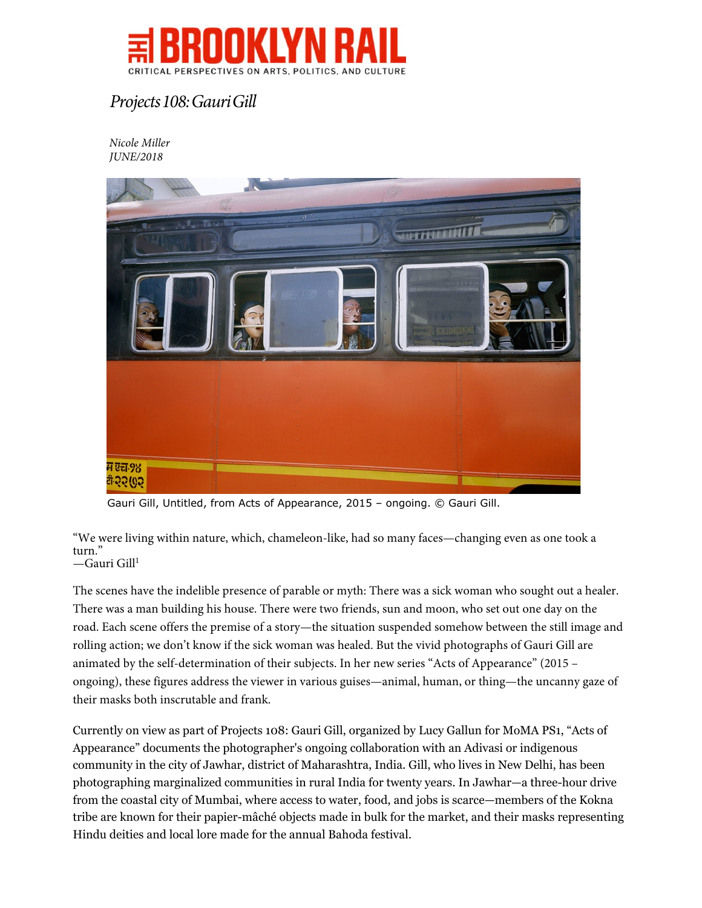

## *Projects 108: Gauri Gill*

*Nicole Miller JUNE/2018*



Gauri Gill, Untitled, from Acts of Appearance, 2015 – ongoing. © Gauri Gill.

"We were living within nature, which, chameleon-like, had so many faces—changing even as one took a turn." —Gauri Gill<sup>1</sup>

The scenes have the indelible presence of parable or myth: There was a sick woman who sought out a healer. There was a man building his house. There were two friends, sun and moon, who set out one day on the road. Each scene offers the premise of a story—the situation suspended somehow between the still image and rolling action; we don't know if the sick woman was healed. But the vivid photographs of Gauri Gill are animated by the self-determination of their subjects. In her new series "Acts of Appearance" (2015 – ongoing), these figures address the viewer in various guises—animal, human, or thing—the uncanny gaze of their masks both inscrutable and frank.

Currently on view as part of Projects 108: Gauri Gill, organized by Lucy Gallun for MoMA PS1, "Acts of Appearance" documents the photographer's ongoing collaboration with an Adivasi or indigenous community in the city of Jawhar, district of Maharashtra, India. Gill, who lives in New Delhi, has been photographing marginalized communities in rural India for twenty years. In Jawhar—a three-hour drive from the coastal city of Mumbai, where access to water, food, and jobs is scarce—members of the Kokna tribe are known for their papier-mâché objects made in bulk for the market, and their masks representing Hindu deities and local lore made for the annual Bahoda festival.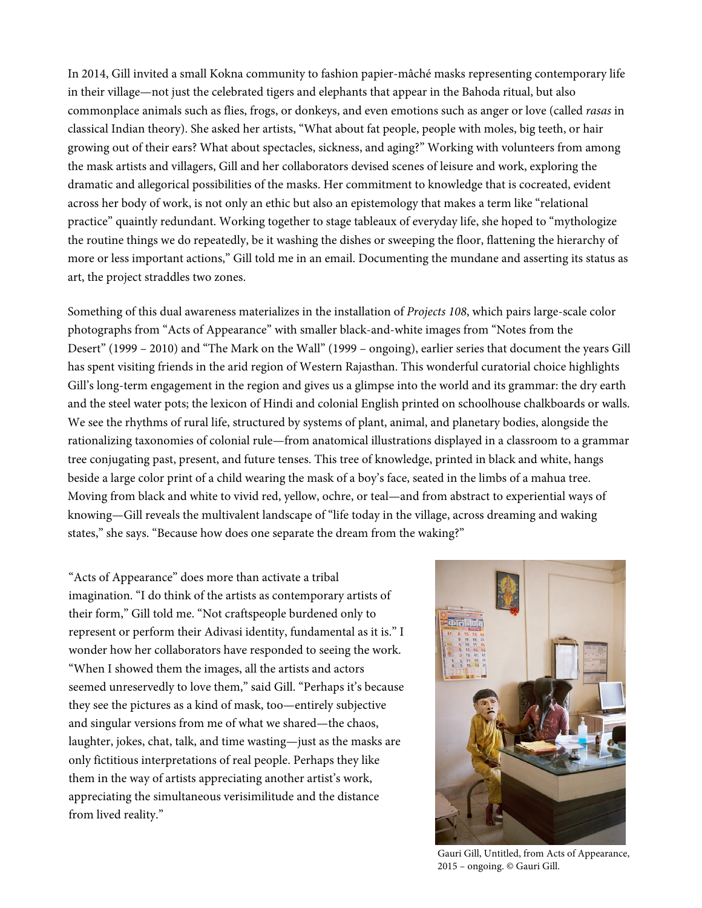In 2014, Gill invited a small Kokna community to fashion papier-mâché masks representing contemporary life in their village—not just the celebrated tigers and elephants that appear in the Bahoda ritual, but also commonplace animals such as flies, frogs, or donkeys, and even emotions such as anger or love (called *rasas* in classical Indian theory). She asked her artists, "What about fat people, people with moles, big teeth, or hair growing out of their ears? What about spectacles, sickness, and aging?" Working with volunteers from among the mask artists and villagers, Gill and her collaborators devised scenes of leisure and work, exploring the dramatic and allegorical possibilities of the masks. Her commitment to knowledge that is cocreated, evident across her body of work, is not only an ethic but also an epistemology that makes a term like "relational practice" quaintly redundant. Working together to stage tableaux of everyday life, she hoped to "mythologize the routine things we do repeatedly, be it washing the dishes or sweeping the floor, flattening the hierarchy of more or less important actions," Gill told me in an email. Documenting the mundane and asserting its status as art, the project straddles two zones.

Something of this dual awareness materializes in the installation of *Projects 108*, which pairs large-scale color photographs from "Acts of Appearance" with smaller black-and-white images from "Notes from the Desert" (1999 – 2010) and "The Mark on the Wall" (1999 – ongoing), earlier series that document the years Gill has spent visiting friends in the arid region of Western Rajasthan. This wonderful curatorial choice highlights Gill's long-term engagement in the region and gives us a glimpse into the world and its grammar: the dry earth and the steel water pots; the lexicon of Hindi and colonial English printed on schoolhouse chalkboards or walls. We see the rhythms of rural life, structured by systems of plant, animal, and planetary bodies, alongside the rationalizing taxonomies of colonial rule—from anatomical illustrations displayed in a classroom to a grammar tree conjugating past, present, and future tenses. This tree of knowledge, printed in black and white, hangs beside a large color print of a child wearing the mask of a boy's face, seated in the limbs of a mahua tree. Moving from black and white to vivid red, yellow, ochre, or teal—and from abstract to experiential ways of knowing—Gill reveals the multivalent landscape of "life today in the village, across dreaming and waking states," she says. "Because how does one separate the dream from the waking?"

"Acts of Appearance" does more than activate a tribal imagination. "I do think of the artists as contemporary artists of their form," Gill told me. "Not craftspeople burdened only to represent or perform their Adivasi identity, fundamental as it is." I wonder how her collaborators have responded to seeing the work. "When I showed them the images, all the artists and actors seemed unreservedly to love them," said Gill. "Perhaps it's because they see the pictures as a kind of mask, too—entirely subjective and singular versions from me of what we shared—the chaos, laughter, jokes, chat, talk, and time wasting—just as the masks are only fictitious interpretations of real people. Perhaps they like them in the way of artists appreciating another artist's work, appreciating the simultaneous verisimilitude and the distance from lived reality."



Gauri Gill, Untitled, from Acts of Appearance, 2015 – ongoing. © Gauri Gill.